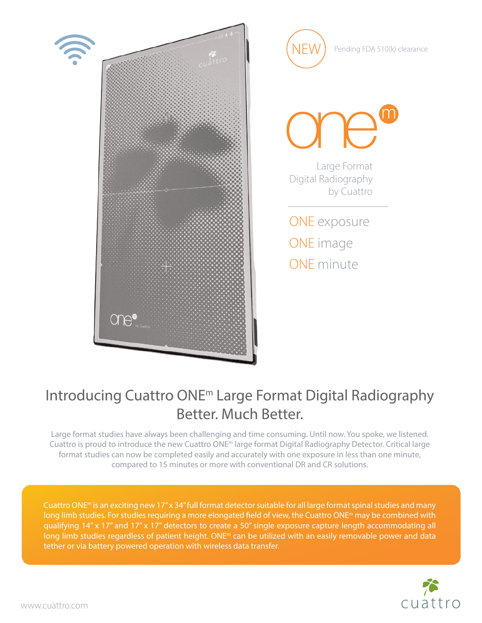

NEW Pending FDA 510(k) clearance Large Format Digital Radiography by Cuattro ONE exposure ONE image ONE minute

## Introducing Cuattro ONEm Large Format Digital Radiography Better. Much Better.

Large format studies have always been challenging and time consuming. Until now. You spoke, we listened. Cuattro is proud to introduce the new Cuattro ONEm large format Digital Radiography Detector. Critical large format studies can now be completed easily and accurately with one exposure in less than one minute, compared to 15 minutes or more with conventional DR and CR solutions.

Cuattro ONEm is an exciting new 17" x 34" full format detector suitable for all large format spinal studies and many long limb studies. For studies requiring a more elongated field of view, the Cuattro ONE<sup>m</sup> may be combined with qualifying 14" x 17" and 17" x 17" detectors to create a 50" single exposure capture length accommodating all long limb studies regardless of patient height. ONE<sup>m</sup> can be utilized with an easily removable power and data tether or via battery powered operation with wireless data transfer.



www.cuattro.com